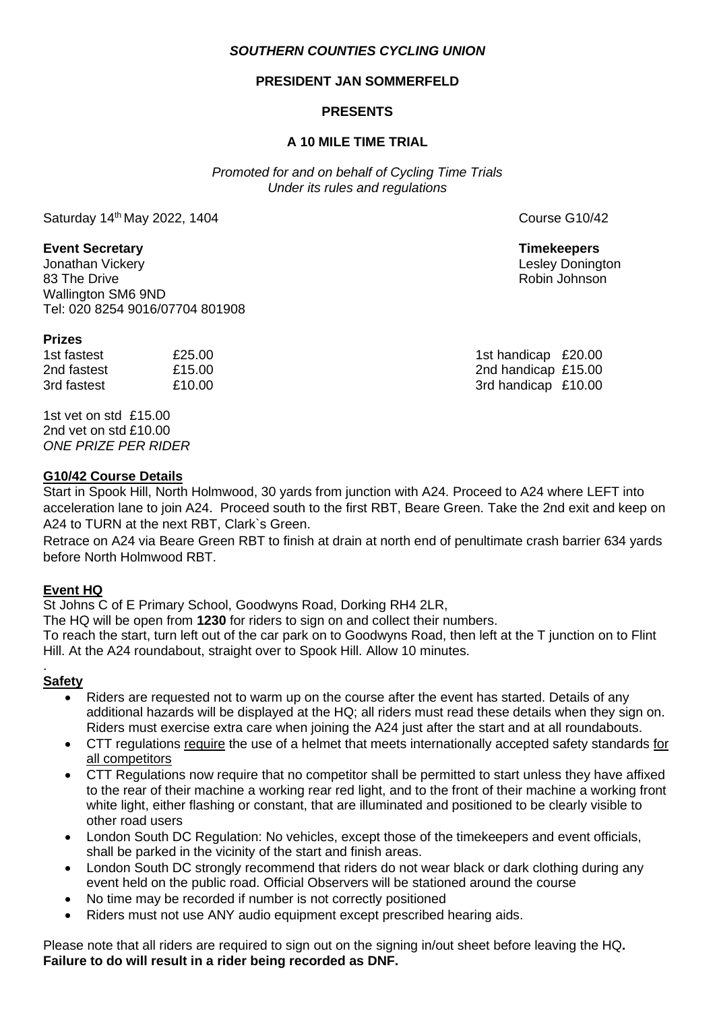## *SOUTHERN COUNTIES CYCLING UNION*

## **PRESIDENT JAN SOMMERFELD**

# **PRESENTS**

## **A 10 MILE TIME TRIAL**

*Promoted for and on behalf of Cycling Time Trials Under its rules and regulations*

Saturday 14<sup>th</sup> May 2022, 1404 **Course G10/42** Course G10/42

## **Event Secretary Timekeepers**

Jonathan Vickery Lesley Donington 83 The Drive **Robin Johnson** Robin Johnson **Robin Johnson** Robin Johnson **Robin Johnson** Wallington SM6 9ND Tel: 020 8254 9016/07704 801908

#### **Prizes**

1st fastest  $£25.00$   $£25.00$ 2nd fastest £15.00 2nd handicap £15.00 3rd fastest  $£10.00$   $£10.00$  3rd handicap £10.00

1st vet on std £15.00 2nd vet on std £10.00 *ONE PRIZE PER RIDER*

### **G10/42 Course Details**

Start in Spook Hill, North Holmwood, 30 yards from junction with A24. Proceed to A24 where LEFT into acceleration lane to join A24. Proceed south to the first RBT, Beare Green. Take the 2nd exit and keep on A24 to TURN at the next RBT, Clark`s Green.

Retrace on A24 via Beare Green RBT to finish at drain at north end of penultimate crash barrier 634 yards before North Holmwood RBT.

# **Event HQ**

St Johns C of E Primary School, Goodwyns Road, Dorking RH4 2LR,

The HQ will be open from **1230** for riders to sign on and collect their numbers.

To reach the start, turn left out of the car park on to Goodwyns Road, then left at the T junction on to Flint Hill. At the A24 roundabout, straight over to Spook Hill. Allow 10 minutes.

#### . **Safety**

- Riders are requested not to warm up on the course after the event has started. Details of any additional hazards will be displayed at the HQ; all riders must read these details when they sign on. Riders must exercise extra care when joining the A24 just after the start and at all roundabouts.
- CTT regulations require the use of a helmet that meets internationally accepted safety standards for all competitors
- CTT Regulations now require that no competitor shall be permitted to start unless they have affixed to the rear of their machine a working rear red light, and to the front of their machine a working front white light, either flashing or constant, that are illuminated and positioned to be clearly visible to other road users
- London South DC Regulation: No vehicles, except those of the timekeepers and event officials, shall be parked in the vicinity of the start and finish areas.
- London South DC strongly recommend that riders do not wear black or dark clothing during any event held on the public road. Official Observers will be stationed around the course
- No time may be recorded if number is not correctly positioned
- Riders must not use ANY audio equipment except prescribed hearing aids.

Please note that all riders are required to sign out on the signing in/out sheet before leaving the HQ**. Failure to do will result in a rider being recorded as DNF.**